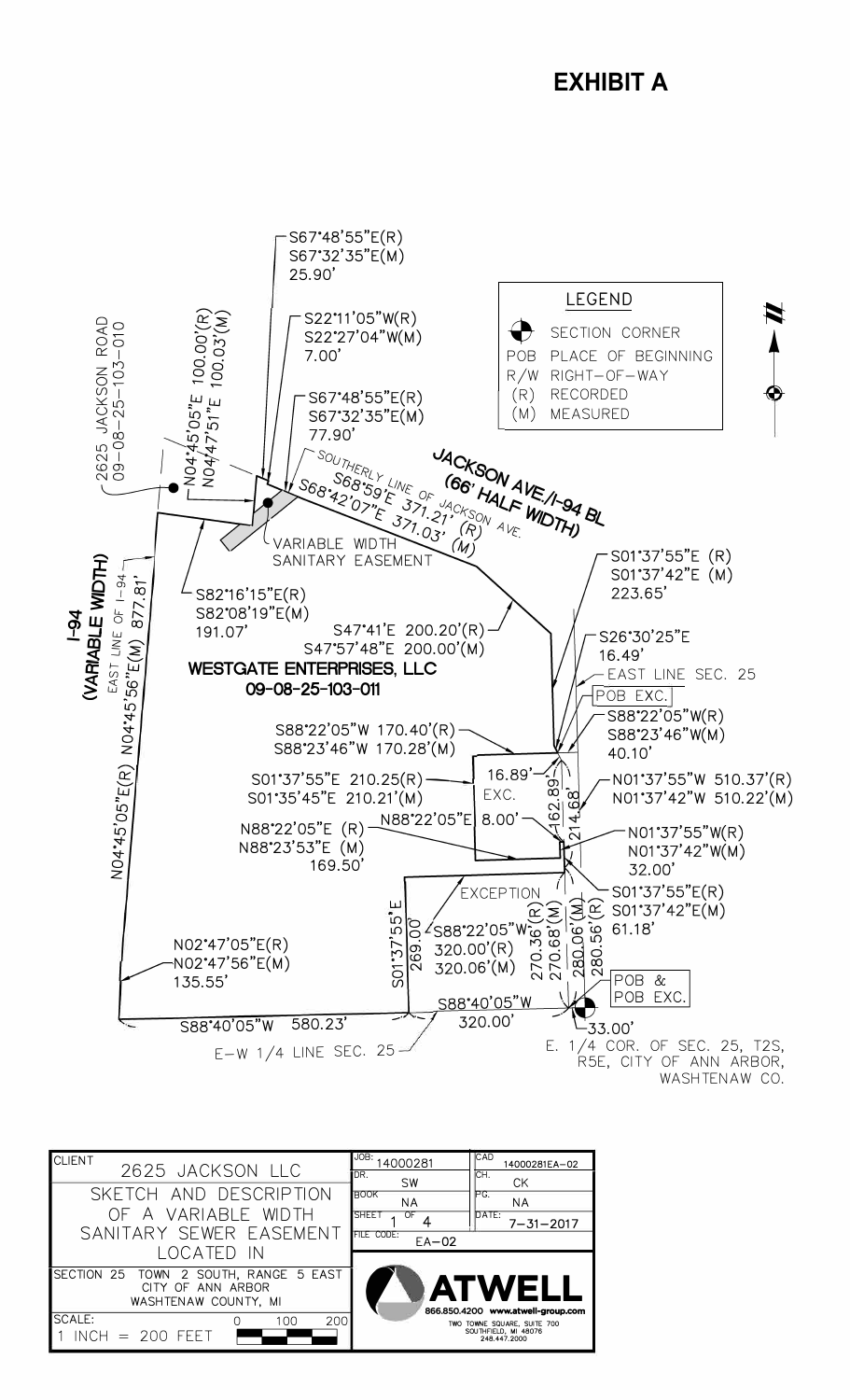

| <b>CLIENT</b><br>2625 JACKSON LLC                                        | JOB:<br>4000281<br>DR.<br><b>SW</b>                                            | <b>CAD</b><br>14000281EA-02<br>ICH.<br><b>CK</b>                    |
|--------------------------------------------------------------------------|--------------------------------------------------------------------------------|---------------------------------------------------------------------|
| SKETCH AND DESCRIPTION<br>OF A VARIABLE WIDTH<br>SANITARY SEWER EASEMENT | <b>BOOK</b><br><b>NA</b><br><b>SHEET</b><br>OF<br><b>FILE CODE:</b><br>$EA-02$ | IPG.<br><b>NA</b><br>DATE:<br>$7 - 31 - 2017$                       |
| located in<br>SECTION 25 TOWN 2 SOUTH, RANGE 5 EAST                      |                                                                                |                                                                     |
| CITY OF ANN ARBOR<br>WASHTENAW COUNTY, MI                                |                                                                                | <b>ATWELL</b><br>866.850.4200 www.atwell-group.com                  |
| <b>SCALE:</b><br>200<br>100<br>$INCH = 200 FEET$                         |                                                                                | TWO TOWNE SQUARE, SUITE 700<br>SOUTHFIELD, MI 48076<br>248.447.2000 |